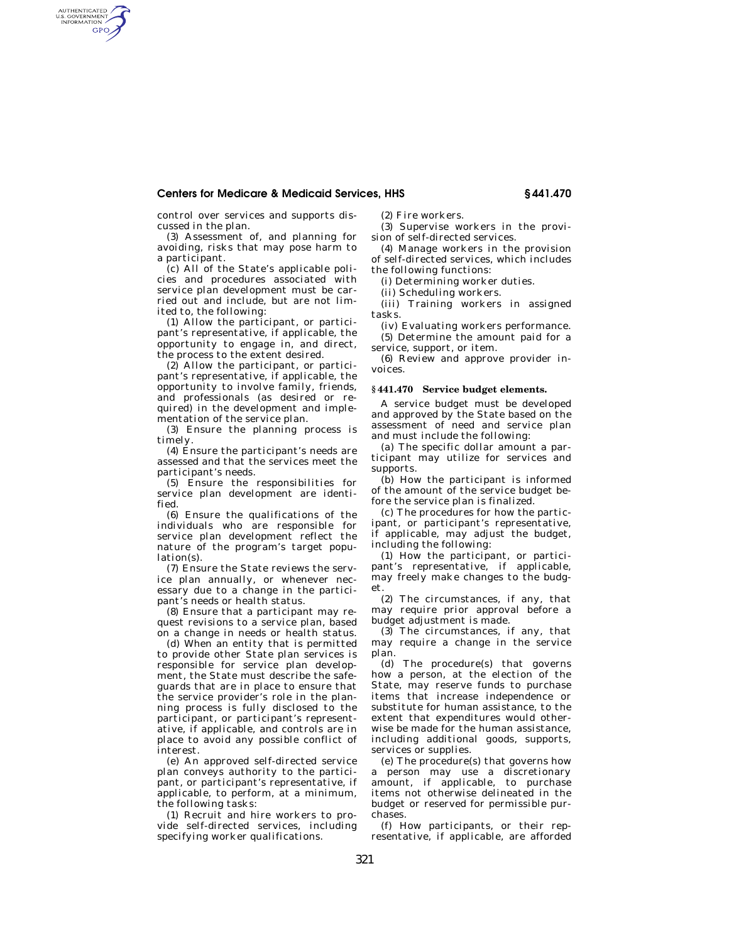# **Centers for Medicare & Medicaid Services, HHS § 441.470**

control over services and supports discussed in the plan.

AUTHENTICATED<br>U.S. GOVERNMENT<br>INFORMATION **GPO** 

> (3) Assessment of, and planning for avoiding, risks that may pose harm to a participant.

> (c) All of the State's applicable policies and procedures associated with service plan development must be carried out and include, but are not limited to, the following:

> (1) Allow the participant, or participant's representative, if applicable, the opportunity to engage in, and direct, the process to the extent desired.

> (2) Allow the participant, or participant's representative, if applicable, the opportunity to involve family, friends, and professionals (as desired or required) in the development and implementation of the service plan.

> (3) Ensure the planning process is timely.

> (4) Ensure the participant's needs are assessed and that the services meet the participant's needs.

> (5) Ensure the responsibilities for service plan development are identified.

> (6) Ensure the qualifications of the individuals who are responsible for service plan development reflect the nature of the program's target population(s).

> (7) Ensure the State reviews the service plan annually, or whenever necessary due to a change in the participant's needs or health status.

> (8) Ensure that a participant may request revisions to a service plan, based on a change in needs or health status.

> (d) When an entity that is permitted to provide other State plan services is responsible for service plan development, the State must describe the safeguards that are in place to ensure that the service provider's role in the planning process is fully disclosed to the participant, or participant's representative, if applicable, and controls are in place to avoid any possible conflict of interest.

> (e) An approved self-directed service plan conveys authority to the participant, or participant's representative, if applicable, to perform, at a minimum, the following tasks:

> (1) Recruit and hire workers to provide self-directed services, including specifying worker qualifications.

(2) Fire workers.

(3) Supervise workers in the provision of self-directed services.

(4) Manage workers in the provision of self-directed services, which includes the following functions:

(i) Determining worker duties.

(ii) Scheduling workers.

(iii) Training workers in assigned tasks.

(iv) Evaluating workers performance. (5) Determine the amount paid for a

service, support, or item. (6) Review and approve provider invoices.

#### **§ 441.470 Service budget elements.**

A service budget must be developed and approved by the State based on the assessment of need and service plan and must include the following:

(a) The specific dollar amount a participant may utilize for services and supports.

(b) How the participant is informed of the amount of the service budget before the service plan is finalized.

(c) The procedures for how the participant, or participant's representative, if applicable, may adjust the budget, including the following:

(1) How the participant, or participant's representative, if applicable, may freely make changes to the budget.

(2) The circumstances, if any, that may require prior approval before a budget adjustment is made.

(3) The circumstances, if any, that may require a change in the service plan.

(d) The procedure(s) that governs how a person, at the election of the State, may reserve funds to purchase items that increase independence or substitute for human assistance, to the extent that expenditures would otherwise be made for the human assistance, including additional goods, supports, services or supplies.

(e) The procedure(s) that governs how a person may use a discretionary amount, if applicable, to purchase items not otherwise delineated in the budget or reserved for permissible purchases.

(f) How participants, or their representative, if applicable, are afforded